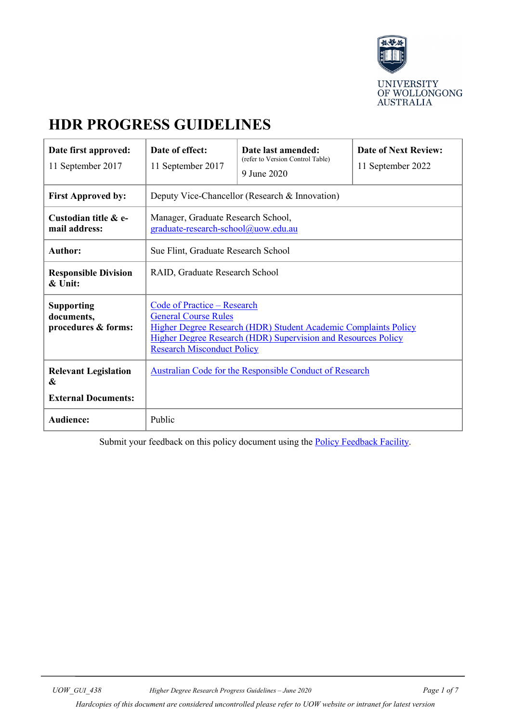

# **HDR PROGRESS GUIDELINES**

| Date first approved:<br>11 September 2017                      | Date of effect:<br>11 September 2017                                                                                                                                                                                                | Date last amended:<br>(refer to Version Control Table)<br>9 June 2020 | <b>Date of Next Review:</b><br>11 September 2022 |
|----------------------------------------------------------------|-------------------------------------------------------------------------------------------------------------------------------------------------------------------------------------------------------------------------------------|-----------------------------------------------------------------------|--------------------------------------------------|
| <b>First Approved by:</b>                                      | Deputy Vice-Chancellor (Research & Innovation)                                                                                                                                                                                      |                                                                       |                                                  |
| Custodian title & e-<br>mail address:                          | Manager, Graduate Research School,<br>graduate-research-school@uow.edu.au                                                                                                                                                           |                                                                       |                                                  |
| <b>Author:</b>                                                 | Sue Flint, Graduate Research School                                                                                                                                                                                                 |                                                                       |                                                  |
| <b>Responsible Division</b><br>$\&$ Unit:                      | RAID, Graduate Research School                                                                                                                                                                                                      |                                                                       |                                                  |
| <b>Supporting</b><br>documents,<br>procedures & forms:         | Code of Practice - Research<br><b>General Course Rules</b><br>Higher Degree Research (HDR) Student Academic Complaints Policy<br>Higher Degree Research (HDR) Supervision and Resources Policy<br><b>Research Misconduct Policy</b> |                                                                       |                                                  |
| <b>Relevant Legislation</b><br>&<br><b>External Documents:</b> | <b>Australian Code for the Responsible Conduct of Research</b>                                                                                                                                                                      |                                                                       |                                                  |
| <b>Audience:</b>                                               | Public                                                                                                                                                                                                                              |                                                                       |                                                  |

Submit your feedback on this policy document using the **Policy Feedback Facility**.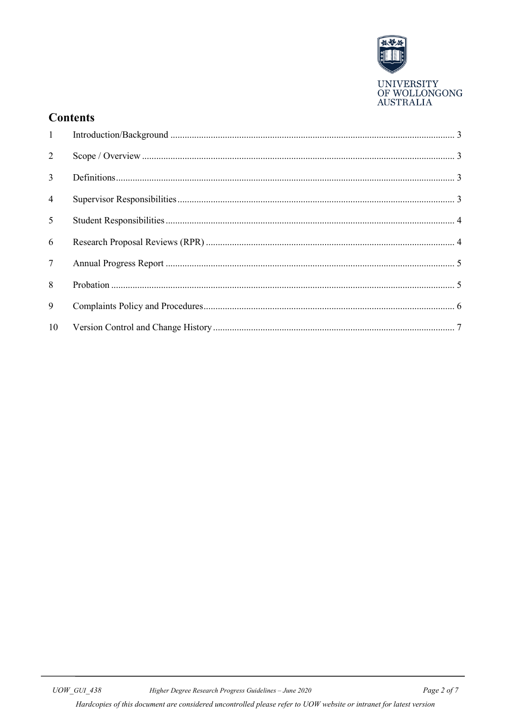

# **Contents**

| $1 -$           |  |
|-----------------|--|
| 2               |  |
| $\overline{3}$  |  |
| $\overline{4}$  |  |
| $\overline{5}$  |  |
| 6               |  |
| $7\overline{ }$ |  |
| 8               |  |
| 9               |  |
| 10              |  |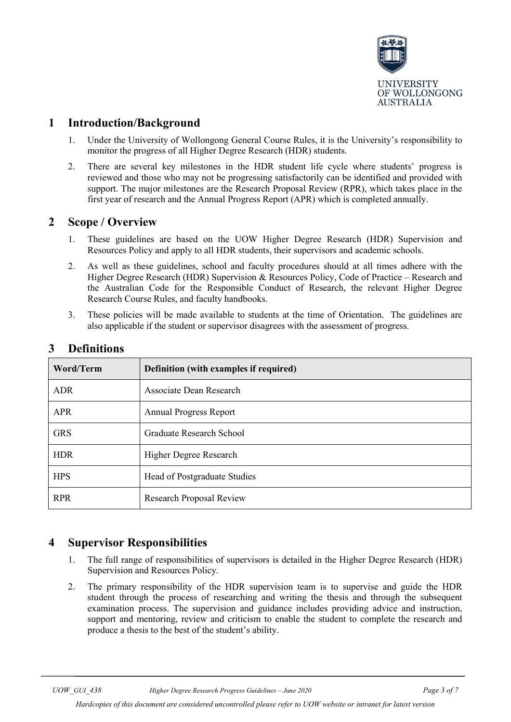

### <span id="page-2-0"></span>**1 Introduction/Background**

- 1. Under the University of Wollongong General Course Rules, it is the University's responsibility to monitor the progress of all Higher Degree Research (HDR) students.
- 2. There are several key milestones in the HDR student life cycle where students' progress is reviewed and those who may not be progressing satisfactorily can be identified and provided with support. The major milestones are the Research Proposal Review (RPR), which takes place in the first year of research and the Annual Progress Report (APR) which is completed annually.

#### <span id="page-2-1"></span>**2 Scope / Overview**

- 1. These guidelines are based on the UOW Higher Degree Research (HDR) Supervision and Resources Policy and apply to all HDR students, their supervisors and academic schools.
- 2. As well as these guidelines, school and faculty procedures should at all times adhere with the Higher Degree Research (HDR) Supervision & Resources Policy, Code of Practice – Research and the Australian Code for the Responsible Conduct of Research, the relevant Higher Degree Research Course Rules, and faculty handbooks.
- 3. These policies will be made available to students at the time of Orientation. The guidelines are also applicable if the student or supervisor disagrees with the assessment of progress.

| Word/Term  | Definition (with examples if required) |  |
|------------|----------------------------------------|--|
| <b>ADR</b> | Associate Dean Research                |  |
| <b>APR</b> | <b>Annual Progress Report</b>          |  |
| <b>GRS</b> | Graduate Research School               |  |
| <b>HDR</b> | Higher Degree Research                 |  |
| <b>HPS</b> | Head of Postgraduate Studies           |  |
| <b>RPR</b> | Research Proposal Review               |  |

#### <span id="page-2-2"></span>**3 Definitions**

# <span id="page-2-3"></span>**4 Supervisor Responsibilities**

- 1. The full range of responsibilities of supervisors is detailed in the Higher Degree Research (HDR) Supervision and Resources Policy.
- 2. The primary responsibility of the HDR supervision team is to supervise and guide the HDR student through the process of researching and writing the thesis and through the subsequent examination process. The supervision and guidance includes providing advice and instruction, support and mentoring, review and criticism to enable the student to complete the research and produce a thesis to the best of the student's ability.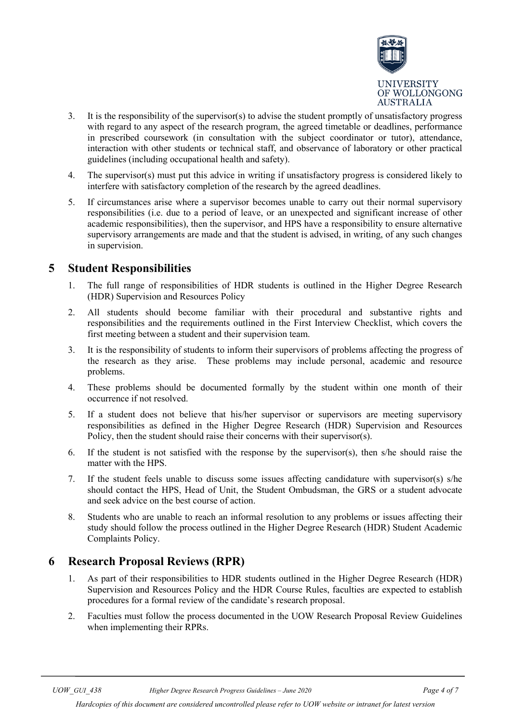

- 3. It is the responsibility of the supervisor(s) to advise the student promptly of unsatisfactory progress with regard to any aspect of the research program, the agreed timetable or deadlines, performance in prescribed coursework (in consultation with the subject coordinator or tutor), attendance, interaction with other students or technical staff, and observance of laboratory or other practical guidelines (including occupational health and safety).
- 4. The supervisor(s) must put this advice in writing if unsatisfactory progress is considered likely to interfere with satisfactory completion of the research by the agreed deadlines.
- 5. If circumstances arise where a supervisor becomes unable to carry out their normal supervisory responsibilities (i.e. due to a period of leave, or an unexpected and significant increase of other academic responsibilities), then the supervisor, and HPS have a responsibility to ensure alternative supervisory arrangements are made and that the student is advised, in writing, of any such changes in supervision.

#### <span id="page-3-0"></span>**5 Student Responsibilities**

- 1. The full range of responsibilities of HDR students is outlined in the Higher Degree Research (HDR) Supervision and Resources Policy
- 2. All students should become familiar with their procedural and substantive rights and responsibilities and the requirements outlined in the First Interview Checklist, which covers the first meeting between a student and their supervision team.
- 3. It is the responsibility of students to inform their supervisors of problems affecting the progress of the research as they arise. These problems may include personal, academic and resource problems.
- 4. These problems should be documented formally by the student within one month of their occurrence if not resolved.
- 5. If a student does not believe that his/her supervisor or supervisors are meeting supervisory responsibilities as defined in the Higher Degree Research (HDR) Supervision and Resources Policy, then the student should raise their concerns with their supervisor(s).
- 6. If the student is not satisfied with the response by the supervisor(s), then s/he should raise the matter with the HPS.
- 7. If the student feels unable to discuss some issues affecting candidature with supervisor(s) s/he should contact the HPS, Head of Unit, the Student Ombudsman, the GRS or a student advocate and seek advice on the best course of action.
- 8. Students who are unable to reach an informal resolution to any problems or issues affecting their study should follow the process outlined in the Higher Degree Research (HDR) Student Academic Complaints Policy.

#### <span id="page-3-1"></span>**6 Research Proposal Reviews (RPR)**

- 1. As part of their responsibilities to HDR students outlined in the Higher Degree Research (HDR) Supervision and Resources Policy and the HDR Course Rules, faculties are expected to establish procedures for a formal review of the candidate's research proposal.
- 2. Faculties must follow the process documented in the UOW Research Proposal Review Guidelines when implementing their RPRs.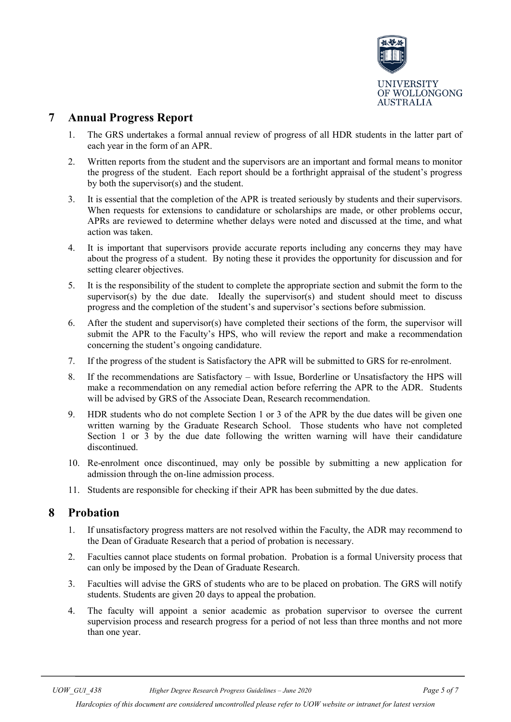

# <span id="page-4-0"></span>**7 Annual Progress Report**

- 1. The GRS undertakes a formal annual review of progress of all HDR students in the latter part of each year in the form of an APR.
- 2. Written reports from the student and the supervisors are an important and formal means to monitor the progress of the student. Each report should be a forthright appraisal of the student's progress by both the supervisor(s) and the student.
- 3. It is essential that the completion of the APR is treated seriously by students and their supervisors. When requests for extensions to candidature or scholarships are made, or other problems occur, APRs are reviewed to determine whether delays were noted and discussed at the time, and what action was taken.
- 4. It is important that supervisors provide accurate reports including any concerns they may have about the progress of a student. By noting these it provides the opportunity for discussion and for setting clearer objectives.
- 5. It is the responsibility of the student to complete the appropriate section and submit the form to the supervisor(s) by the due date. Ideally the supervisor(s) and student should meet to discuss progress and the completion of the student's and supervisor's sections before submission.
- 6. After the student and supervisor(s) have completed their sections of the form, the supervisor will submit the APR to the Faculty's HPS, who will review the report and make a recommendation concerning the student's ongoing candidature.
- 7. If the progress of the student is Satisfactory the APR will be submitted to GRS for re-enrolment.
- 8. If the recommendations are Satisfactory with Issue, Borderline or Unsatisfactory the HPS will make a recommendation on any remedial action before referring the APR to the ADR. Students will be advised by GRS of the Associate Dean, Research recommendation.
- 9. HDR students who do not complete Section 1 or 3 of the APR by the due dates will be given one written warning by the Graduate Research School. Those students who have not completed Section 1 or 3 by the due date following the written warning will have their candidature discontinued.
- 10. Re-enrolment once discontinued, may only be possible by submitting a new application for admission through the on-line admission process.
- 11. Students are responsible for checking if their APR has been submitted by the due dates.

#### <span id="page-4-1"></span>**8 Probation**

- 1. If unsatisfactory progress matters are not resolved within the Faculty, the ADR may recommend to the Dean of Graduate Research that a period of probation is necessary.
- 2. Faculties cannot place students on formal probation. Probation is a formal University process that can only be imposed by the Dean of Graduate Research.
- 3. Faculties will advise the GRS of students who are to be placed on probation. The GRS will notify students. Students are given 20 days to appeal the probation.
- 4. The faculty will appoint a senior academic as probation supervisor to oversee the current supervision process and research progress for a period of not less than three months and not more than one year.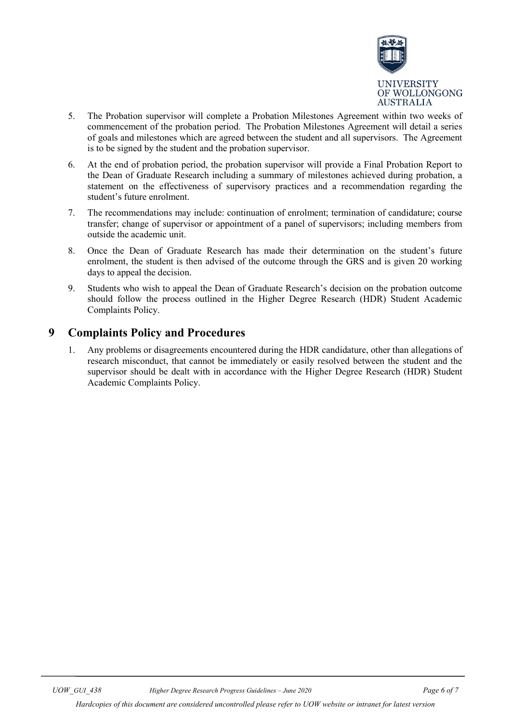

- 5. The Probation supervisor will complete a Probation Milestones Agreement within two weeks of commencement of the probation period. The Probation Milestones Agreement will detail a series of goals and milestones which are agreed between the student and all supervisors. The Agreement is to be signed by the student and the probation supervisor.
- 6. At the end of probation period, the probation supervisor will provide a Final Probation Report to the Dean of Graduate Research including a summary of milestones achieved during probation, a statement on the effectiveness of supervisory practices and a recommendation regarding the student's future enrolment.
- 7. The recommendations may include: continuation of enrolment; termination of candidature; course transfer; change of supervisor or appointment of a panel of supervisors; including members from outside the academic unit.
- 8. Once the Dean of Graduate Research has made their determination on the student's future enrolment, the student is then advised of the outcome through the GRS and is given 20 working days to appeal the decision.
- 9. Students who wish to appeal the Dean of Graduate Research's decision on the probation outcome should follow the process outlined in the Higher Degree Research (HDR) Student Academic Complaints Policy.

#### <span id="page-5-0"></span>**9 Complaints Policy and Procedures**

1. Any problems or disagreements encountered during the HDR candidature, other than allegations of research misconduct, that cannot be immediately or easily resolved between the student and the supervisor should be dealt with in accordance with the Higher Degree Research (HDR) Student Academic Complaints Policy.